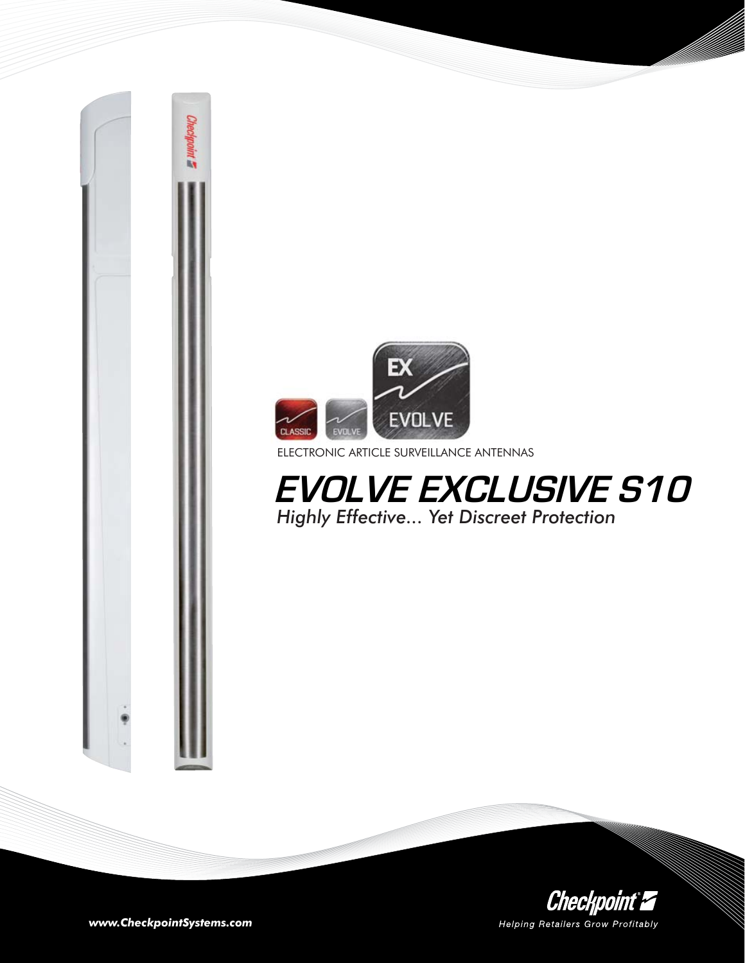

ELECTRONIC ARTICLE SURVEILLANCE ANTENNAS

**EVOLVE EXCLUSIVE S10** *Highly Effective... Yet Discreet Protection* 



*www.CheckpointSystems.com*

Checkpoint **E**